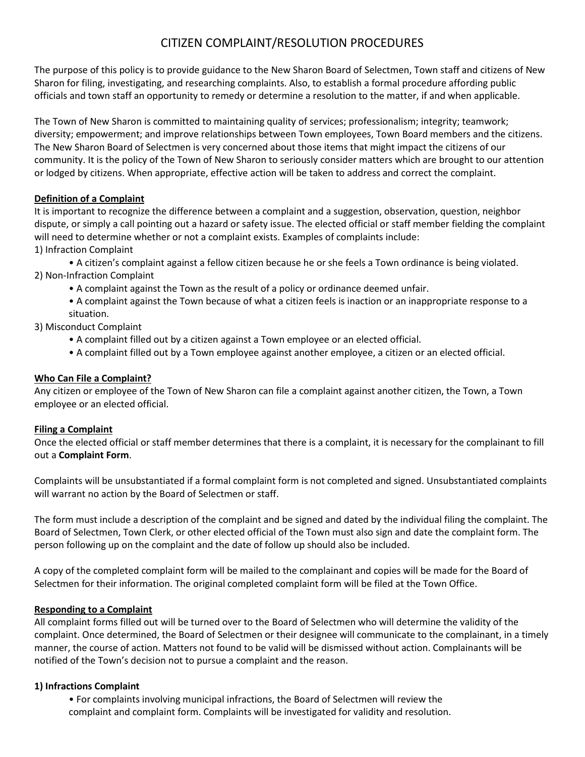## CITIZEN COMPLAINT/RESOLUTION PROCEDURES

The purpose of this policy is to provide guidance to the New Sharon Board of Selectmen, Town staff and citizens of New Sharon for filing, investigating, and researching complaints. Also, to establish a formal procedure affording public officials and town staff an opportunity to remedy or determine a resolution to the matter, if and when applicable.

The Town of New Sharon is committed to maintaining quality of services; professionalism; integrity; teamwork; diversity; empowerment; and improve relationships between Town employees, Town Board members and the citizens. The New Sharon Board of Selectmen is very concerned about those items that might impact the citizens of our community. It is the policy of the Town of New Sharon to seriously consider matters which are brought to our attention or lodged by citizens. When appropriate, effective action will be taken to address and correct the complaint.

### **Definition of a Complaint**

It is important to recognize the difference between a complaint and a suggestion, observation, question, neighbor dispute, or simply a call pointing out a hazard or safety issue. The elected official or staff member fielding the complaint will need to determine whether or not a complaint exists. Examples of complaints include:

1) Infraction Complaint

• A citizen's complaint against a fellow citizen because he or she feels a Town ordinance is being violated. 2) Non-Infraction Complaint

• A complaint against the Town as the result of a policy or ordinance deemed unfair.

• A complaint against the Town because of what a citizen feels is inaction or an inappropriate response to a situation.

3) Misconduct Complaint

- A complaint filled out by a citizen against a Town employee or an elected official.
- A complaint filled out by a Town employee against another employee, a citizen or an elected official.

## **Who Can File a Complaint?**

Any citizen or employee of the Town of New Sharon can file a complaint against another citizen, the Town, a Town employee or an elected official.

### **Filing a Complaint**

Once the elected official or staff member determines that there is a complaint, it is necessary for the complainant to fill out a **Complaint Form**.

Complaints will be unsubstantiated if a formal complaint form is not completed and signed. Unsubstantiated complaints will warrant no action by the Board of Selectmen or staff.

The form must include a description of the complaint and be signed and dated by the individual filing the complaint. The Board of Selectmen, Town Clerk, or other elected official of the Town must also sign and date the complaint form. The person following up on the complaint and the date of follow up should also be included.

A copy of the completed complaint form will be mailed to the complainant and copies will be made for the Board of Selectmen for their information. The original completed complaint form will be filed at the Town Office.

### **Responding to a Complaint**

All complaint forms filled out will be turned over to the Board of Selectmen who will determine the validity of the complaint. Once determined, the Board of Selectmen or their designee will communicate to the complainant, in a timely manner, the course of action. Matters not found to be valid will be dismissed without action. Complainants will be notified of the Town's decision not to pursue a complaint and the reason.

### **1) Infractions Complaint**

• For complaints involving municipal infractions, the Board of Selectmen will review the complaint and complaint form. Complaints will be investigated for validity and resolution.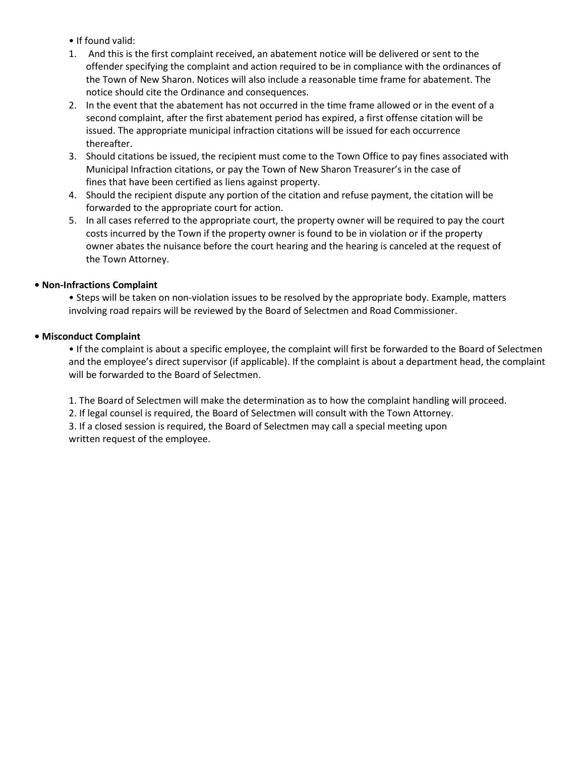• If found valid:

- 1. And this is the first complaint received, an abatement notice will be delivered or sent to the offender specifying the complaint and action required to be in compliance with the ordinances of the Town of New Sharon. Notices will also include a reasonable time frame for abatement. The notice should cite the Ordinance and consequences.
- 2. In the event that the abatement has not occurred in the time frame allowed or in the event of a second complaint, after the first abatement period has expired, a first offense citation will be issued. The appropriate municipal infraction citations will be issued for each occurrence thereafter.
- 3. Should citations be issued, the recipient must come to the Town Office to pay fines associated with Municipal Infraction citations, or pay the Town of New Sharon Treasurer's in the case of fines that have been certified as liens against property.
- 4. Should the recipient dispute any portion of the citation and refuse payment, the citation will be forwarded to the appropriate court for action.
- 5. In all cases referred to the appropriate court, the property owner will be required to pay the court costs incurred by the Town if the property owner is found to be in violation or if the property owner abates the nuisance before the court hearing and the hearing is canceled at the request of the Town Attorney.

#### **• Non-Infractions Complaint**

• Steps will be taken on non-violation issues to be resolved by the appropriate body. Example, matters involving road repairs will be reviewed by the Board of Selectmen and Road Commissioner.

#### **• Misconduct Complaint**

• If the complaint is about a specific employee, the complaint will first be forwarded to the Board of Selectmen and the employee's direct supervisor (if applicable). If the complaint is about a department head, the complaint will be forwarded to the Board of Selectmen.

1. The Board of Selectmen will make the determination as to how the complaint handling will proceed.

2. If legal counsel is required, the Board of Selectmen will consult with the Town Attorney.

3. If a closed session is required, the Board of Selectmen may call a special meeting upon written request of the employee.